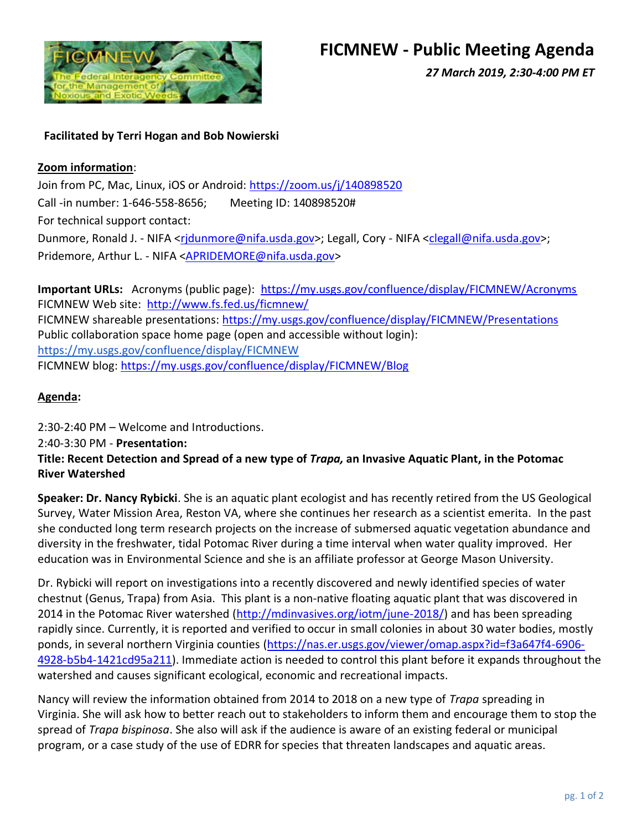

*27 March 2019, 2:30-4:00 PM ET*

## **Facilitated by Terri Hogan and Bob Nowierski**

### **Zoom information**:

Join from PC, Mac, Linux, iOS or Android:<https://zoom.us/j/140898520> Call -in number: 1-646-558-8656; Meeting ID: 140898520# For technical support contact: Dunmore, Ronald J. - NIFA [<rjdunmore@nifa.usda.gov>](mailto:rjdunmore@nifa.usda.gov); Legall, Cory - NIFA [<clegall@nifa.usda.gov>](mailto:clegall@nifa.usda.gov); Pridemore, Arthur L. - NIFA [<APRIDEMORE@nifa.usda.gov>](mailto:APRIDEMORE@nifa.usda.gov)

**Important URLs:** Acronyms (public page): <https://my.usgs.gov/confluence/display/FICMNEW/Acronyms> FICMNEW Web site: <http://www.fs.fed.us/ficmnew/> FICMNEW shareable presentations:<https://my.usgs.gov/confluence/display/FICMNEW/Presentations> Public collaboration space home page (open and accessible without login): <https://my.usgs.gov/confluence/display/FICMNEW> FICMNEW blog: <https://my.usgs.gov/confluence/display/FICMNEW/Blog>

# **Agenda:**

2:30-2:40 PM – Welcome and Introductions. 2:40-3:30 PM - **Presentation: Title: Recent Detection and Spread of a new type of** *Trapa,* **an Invasive Aquatic Plant, in the Potomac River Watershed**

**Speaker: Dr. Nancy Rybicki**. She is an aquatic plant ecologist and has recently retired from the US Geological Survey, Water Mission Area, Reston VA, where she continues her research as a scientist emerita. In the past she conducted long term research projects on the increase of submersed aquatic vegetation abundance and diversity in the freshwater, tidal Potomac River during a time interval when water quality improved. Her education was in Environmental Science and she is an affiliate professor at George Mason University.

Dr. Rybicki will report on investigations into a recently discovered and newly identified species of water chestnut (Genus, Trapa) from Asia. This plant is a non-native floating aquatic plant that was discovered in 2014 in the Potomac River watershed [\(http://mdinvasives.org/iotm/june-2018/\)](http://mdinvasives.org/iotm/june-2018/) and has been spreading rapidly since. Currently, it is reported and verified to occur in small colonies in about 30 water bodies, mostly ponds, in several northern Virginia counties [\(https://nas.er.usgs.gov/viewer/omap.aspx?id=f3a647f4-6906-](https://nas.er.usgs.gov/viewer/omap.aspx?id=f3a647f4-6906-4928-b5b4-1421cd95a211) [4928-b5b4-1421cd95a211\)](https://nas.er.usgs.gov/viewer/omap.aspx?id=f3a647f4-6906-4928-b5b4-1421cd95a211). Immediate action is needed to control this plant before it expands throughout the watershed and causes significant ecological, economic and recreational impacts.

Nancy will review the information obtained from 2014 to 2018 on a new type of *Trapa* spreading in Virginia. She will ask how to better reach out to stakeholders to inform them and encourage them to stop the spread of *Trapa bispinosa*. She also will ask if the audience is aware of an existing federal or municipal program, or a case study of the use of EDRR for species that threaten landscapes and aquatic areas.